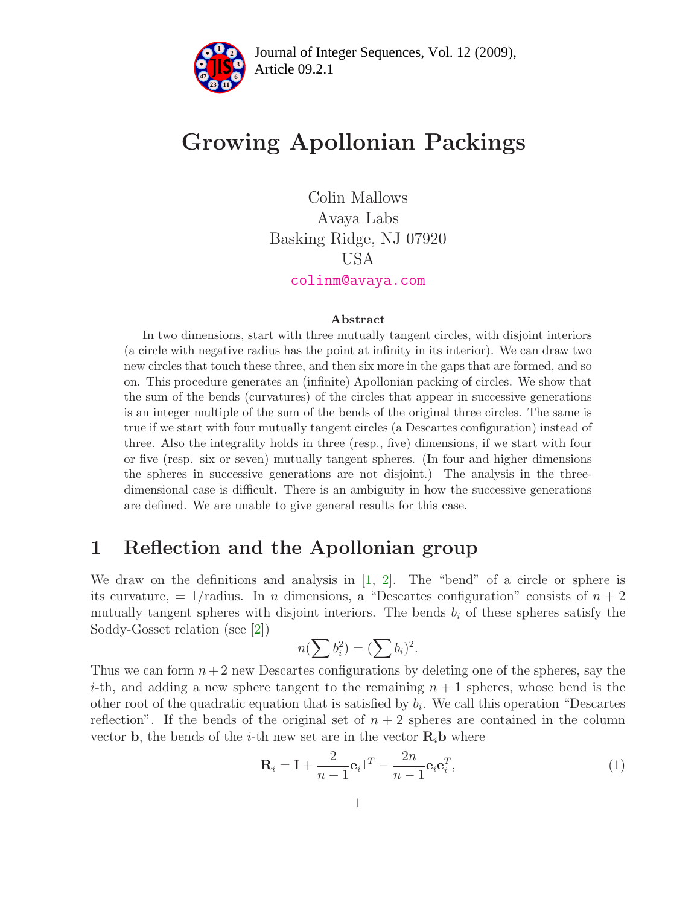

Article 09.2.1 **<sup>2</sup>** Journal of Integer Sequences, Vol. 12 (2009),

# Growing Apollonian Packings

Colin Mallows Avaya Labs Basking Ridge, NJ 07920 USA [colinm@avaya.com](mailto:colinm@avaya.com)

#### Abstract

In two dimensions, start with three mutually tangent circles, with disjoint interiors (a circle with negative radius has the point at infinity in its interior). We can draw two new circles that touch these three, and then six more in the gaps that are formed, and so on. This procedure generates an (infinite) Apollonian packing of circles. We show that the sum of the bends (curvatures) of the circles that appear in successive generations is an integer multiple of the sum of the bends of the original three circles. The same is true if we start with four mutually tangent circles (a Descartes configuration) instead of three. Also the integrality holds in three (resp., five) dimensions, if we start with four or five (resp. six or seven) mutually tangent spheres. (In four and higher dimensions the spheres in successive generations are not disjoint.) The analysis in the threedimensional case is difficult. There is an ambiguity in how the successive generations are defined. We are unable to give general results for this case.

#### 1 Reflection and the Apollonian group

We draw on the definitions and analysis in [\[1,](#page-6-0) [2\]](#page-6-1). The "bend" of a circle or sphere is its curvature,  $= 1/r$ adius. In *n* dimensions, a "Descartes configuration" consists of  $n + 2$ mutually tangent spheres with disjoint interiors. The bends  $b_i$  of these spheres satisfy the Soddy-Gosset relation (see [\[2\]](#page-6-1))

<span id="page-0-0"></span>
$$
n(\sum b_i^2) = (\sum b_i)^2.
$$

Thus we can form  $n+2$  new Descartes configurations by deleting one of the spheres, say the i-th, and adding a new sphere tangent to the remaining  $n + 1$  spheres, whose bend is the other root of the quadratic equation that is satisfied by  $b_i$ . We call this operation "Descartes" reflection". If the bends of the original set of  $n + 2$  spheres are contained in the column vector **b**, the bends of the *i*-th new set are in the vector  $\mathbf{R}_i$ **b** where

$$
\mathbf{R}_i = \mathbf{I} + \frac{2}{n-1} \mathbf{e}_i \mathbf{1}^T - \frac{2n}{n-1} \mathbf{e}_i \mathbf{e}_i^T,
$$
\n(1)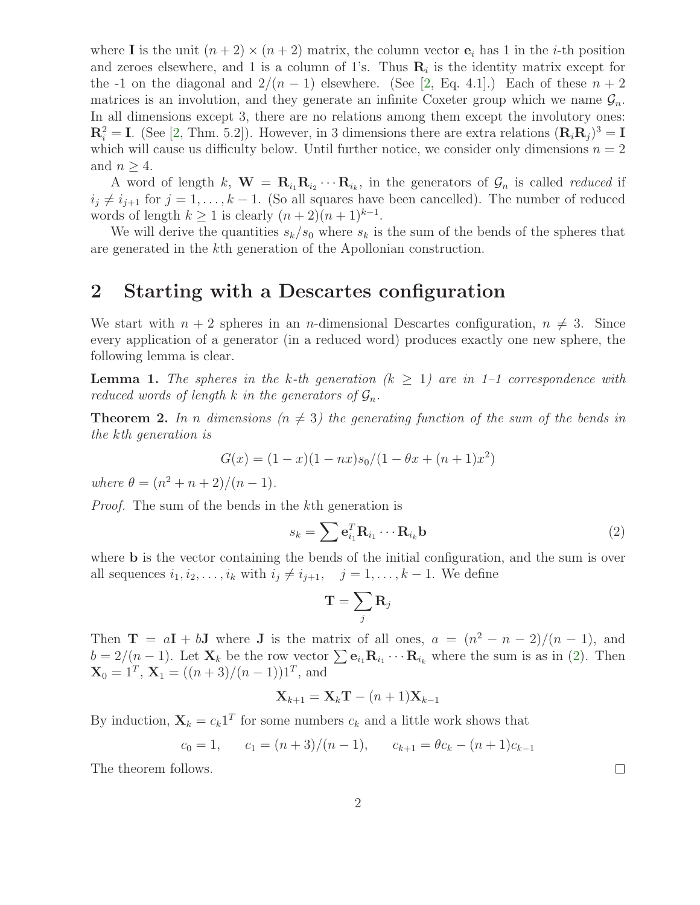where I is the unit  $(n+2) \times (n+2)$  matrix, the column vector  $e_i$  has 1 in the *i*-th position and zeroes elsewhere, and 1 is a column of 1's. Thus  $\mathbf{R}_i$  is the identity matrix except for the -1 on the diagonal and  $2/(n-1)$  elsewhere. (See [\[2,](#page-6-1) Eq. 4.1].) Each of these  $n+2$ matrices is an involution, and they generate an infinite Coxeter group which we name  $\mathcal{G}_n$ . In all dimensions except 3, there are no relations among them except the involutory ones:  $\mathbf{R}_i^2 = \mathbf{I}$ . (See [\[2,](#page-6-1) Thm. 5.2]). However, in 3 dimensions there are extra relations  $(\mathbf{R}_i \mathbf{R}_j)^3 = \mathbf{I}$ which will cause us difficulty below. Until further notice, we consider only dimensions  $n = 2$ and  $n \geq 4$ .

A word of length k,  $\mathbf{W} = \mathbf{R}_{i_1} \mathbf{R}_{i_2} \cdots \mathbf{R}_{i_k}$ , in the generators of  $\mathcal{G}_n$  is called *reduced* if  $i_j \neq i_{j+1}$  for  $j = 1, ..., k-1$ . (So all squares have been cancelled). The number of reduced words of length  $k \ge 1$  is clearly  $(n+2)(n+1)^{k-1}$ .

We will derive the quantities  $s_k/s_0$  where  $s_k$  is the sum of the bends of the spheres that are generated in the kth generation of the Apollonian construction.

#### 2 Starting with a Descartes configuration

We start with  $n + 2$  spheres in an *n*-dimensional Descartes configuration,  $n \neq 3$ . Since every application of a generator (in a reduced word) produces exactly one new sphere, the following lemma is clear.

**Lemma 1.** The spheres in the k-th generation  $(k > 1)$  are in 1-1 correspondence with reduced words of length k in the generators of  $\mathcal{G}_n$ .

<span id="page-1-1"></span>**Theorem 2.** In n dimensions  $(n \neq 3)$  the generating function of the sum of the bends in the kth generation is

$$
G(x) = (1 - x)(1 - nx)s_0/(1 - \theta x + (n + 1)x^2)
$$

where  $\theta = (n^2 + n + 2)/(n - 1)$ .

Proof. The sum of the bends in the kth generation is

<span id="page-1-0"></span>
$$
s_k = \sum \mathbf{e}_{i_1}^T \mathbf{R}_{i_1} \cdots \mathbf{R}_{i_k} \mathbf{b}
$$
 (2)

where **b** is the vector containing the bends of the initial configuration, and the sum is over all sequences  $i_1, i_2, \ldots, i_k$  with  $i_j \neq i_{j+1}, \quad j = 1, \ldots, k-1$ . We define

$$
\mathbf{T}=\sum_j \mathbf{R}_j
$$

Then  $\mathbf{T} = a\mathbf{I} + b\mathbf{J}$  where  $\mathbf{J}$  is the matrix of all ones,  $a = (n^2 - n - 2)/(n - 1)$ , and  $b = 2/(n-1)$ . Let  $\mathbf{X}_k$  be the row vector  $\sum \mathbf{e}_{i_1} \mathbf{R}_{i_1} \cdots \mathbf{R}_{i_k}$  where the sum is as in [\(2\)](#page-1-0). Then  $\mathbf{X}_0 = 1^T$ ,  $\mathbf{X}_1 = ((n+3)/(n-1))1^T$ , and

$$
\mathbf{X}_{k+1} = \mathbf{X}_k \mathbf{T} - (n+1) \mathbf{X}_{k-1}
$$

By induction,  $\mathbf{X}_k = c_k \mathbf{1}^T$  for some numbers  $c_k$  and a little work shows that

$$
c_0 = 1
$$
,  $c_1 = (n+3)/(n-1)$ ,  $c_{k+1} = \theta c_k - (n+1)c_{k-1}$ 

The theorem follows.

 $\Box$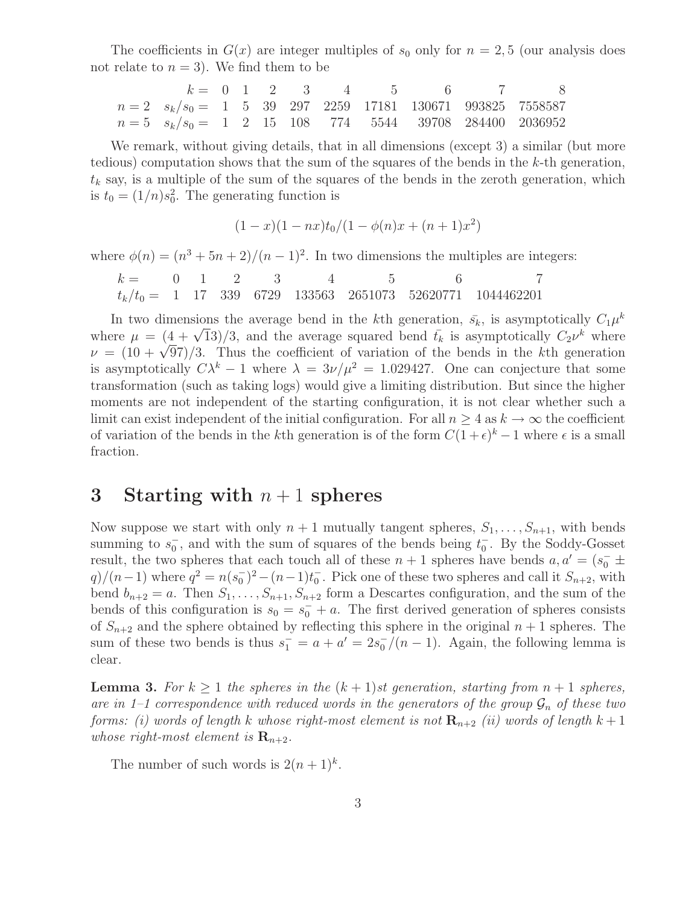The coefficients in  $G(x)$  are integer multiples of  $s_0$  only for  $n = 2, 5$  (our analysis does not relate to  $n = 3$ ). We find them to be

| $k =$   | 0           | 1 | 2 | 3  | 4   | 5    | 6     | 7      | 8      |         |
|---------|-------------|---|---|----|-----|------|-------|--------|--------|---------|
| $n = 2$ | $s_k/s_0 =$ | 1 | 5 | 39 | 297 | 2259 | 17181 | 130671 | 993825 | 7558587 |
| $n = 5$ | $s_k/s_0 =$ | 1 | 2 | 15 | 108 | 774  | 5544  | 39708  | 284400 | 2036952 |

We remark, without giving details, that in all dimensions (except 3) a similar (but more tedious) computation shows that the sum of the squares of the bends in the  $k$ -th generation,  $t_k$  say, is a multiple of the sum of the squares of the bends in the zeroth generation, which is  $t_0 = (1/n)s_0^2$ . The generating function is

$$
(1-x)(1-nx)t_0/(1-\phi(n)x+(n+1)x^2)
$$

where  $\phi(n) = (n^3 + 5n + 2)/(n - 1)^2$ . In two dimensions the multiples are integers:

$$
k = \n\begin{array}{cccccc}\n0 & 1 & 2 & 3 & 4 & 5 & 6 & 7 \\
t_k/t_0 = 1 & 17 & 339 & 6729 & 133563 & 2651073 & 52620771 & 1044462201\n\end{array}
$$

In two dimensions the average bend in the kth generation,  $\bar{s}_k$ , is asymptotically  $C_1\mu^k$ where  $\mu = (4 + \sqrt{13})/3$ , and the average squared bend  $\bar{t}_k$  is asymptotically  $C_2\nu^k$  where  $\nu = (10 + \sqrt{97})/3$ . Thus the coefficient of variation of the bends in the kth generation is asymptotically  $C\lambda^k - 1$  where  $\lambda = 3\nu/\mu^2 = 1.029427$ . One can conjecture that some transformation (such as taking logs) would give a limiting distribution. But since the higher moments are not independent of the starting configuration, it is not clear whether such a limit can exist independent of the initial configuration. For all  $n \geq 4$  as  $k \to \infty$  the coefficient of variation of the bends in the k<sup>th</sup> generation is of the form  $C(1+\epsilon)^k - 1$  where  $\epsilon$  is a small fraction.

#### 3 Starting with  $n+1$  spheres

Now suppose we start with only  $n + 1$  mutually tangent spheres,  $S_1, \ldots, S_{n+1}$ , with bends summing to  $s_0^ \overline{0}$ , and with the sum of squares of the bends being  $t_0^ _0^-$ . By the Soddy-Gosset result, the two spheres that each touch all of these  $n + 1$  spheres have bends  $a, a' = (s_0^- \pm$  $q)/(n-1)$  where  $q^2 = n(s_0^-)$  $\binom{-}{0}^2 - (n-1)t_0^ <sub>0</sub>$ . Pick one of these two spheres and call it  $S_{n+2}$ , with</sub> bend  $b_{n+2} = a$ . Then  $S_1, \ldots, S_{n+1}, S_{n+2}$  form a Descartes configuration, and the sum of the bends of this configuration is  $s_0 = s_0^+ + a$ . The first derived generation of spheres consists of  $S_{n+2}$  and the sphere obtained by reflecting this sphere in the original  $n+1$  spheres. The sum of these two bends is thus  $s_1 = a + a' = 2s_0$  $\frac{1}{0}$  /(n – 1). Again, the following lemma is clear.

**Lemma 3.** For  $k \geq 1$  the spheres in the  $(k + 1)$ st generation, starting from  $n + 1$  spheres, are in 1–1 correspondence with reduced words in the generators of the group  $\mathcal{G}_n$  of these two forms: (i) words of length k whose right-most element is not  $\mathbf{R}_{n+2}$  (ii) words of length  $k+1$ whose right-most element is  $\mathbf{R}_{n+2}$ .

<span id="page-2-0"></span>The number of such words is  $2(n+1)^k$ .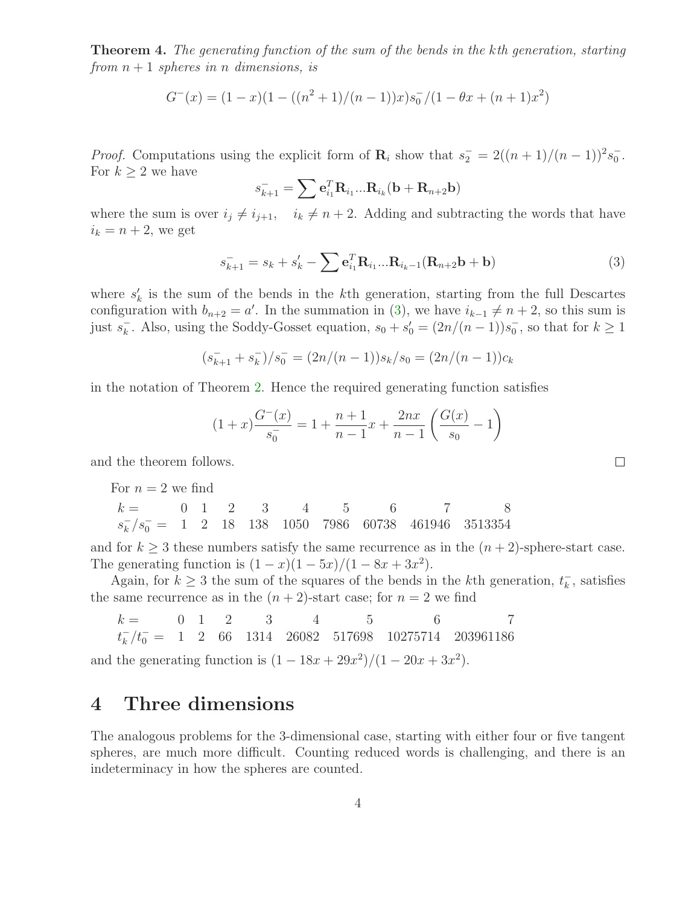Theorem 4. The generating function of the sum of the bends in the kth generation, starting from  $n+1$  spheres in n dimensions, is

$$
G^{-}(x) = (1-x)(1 - ((n^{2} + 1)/(n - 1))x)s_{0}^{-}/(1 - \theta x + (n + 1)x^{2})
$$

*Proof.* Computations using the explicit form of  $\mathbf{R}_i$  show that  $s_2 = 2((n+1)/(n-1))^2 s_0^{-1}$  $\frac{1}{0}$ . For  $k \geq 2$  we have

$$
s_{k+1}^- = \sum \mathbf{e}_{i_1}^T \mathbf{R}_{i_1} \dots \mathbf{R}_{i_k} (\mathbf{b} + \mathbf{R}_{n+2} \mathbf{b})
$$

<span id="page-3-0"></span>where the sum is over  $i_j \neq i_{j+1}$ ,  $i_k \neq n + 2$ . Adding and subtracting the words that have  $i_k = n + 2$ , we get

$$
s_{k+1}^- = s_k + s'_k - \sum e_{i_1}^T \mathbf{R}_{i_1} ... \mathbf{R}_{i_k-1} (\mathbf{R}_{n+2} \mathbf{b} + \mathbf{b})
$$
(3)

where  $s'_{l}$  $'_{k}$  is the sum of the bends in the k<sup>th</sup> generation, starting from the full Descartes configuration with  $b_{n+2} = a'$ . In the summation in [\(3\)](#page-3-0), we have  $i_{k-1} \neq n+2$ , so this sum is just  $s_k^$ k. Also, using the Soddy-Gosset equation,  $s_0 + s'_0 = (2n/(n-1))s_0$  $_0^{\mathsf{-}}$ , so that for  $k \geq 1$ 

$$
(\overline{s_{k+1}} + \overline{s_k})/\overline{s_0} = (2n/(n-1))s_k/s_0 = (2n/(n-1))c_k
$$

in the notation of Theorem [2.](#page-1-1) Hence the required generating function satisfies

$$
(1+x)\frac{G^{-}(x)}{s_0^{-}} = 1 + \frac{n+1}{n-1}x + \frac{2nx}{n-1}\left(\frac{G(x)}{s_0} - 1\right)
$$

and the theorem follows.

For  $n = 2$  we find

 $k = 0 \quad 1 \quad 2 \quad 3 \quad 4 \quad 5 \quad 6 \quad 7 \quad 8$  $s_k^$  $k/s_0^- = 1$  2 18 138 1050 7986 60738 461946 3513354

and for  $k \geq 3$  these numbers satisfy the same recurrence as in the  $(n+2)$ -sphere-start case. The generating function is  $(1 - x)(1 - 5x)/(1 - 8x + 3x^2)$ .

Again, for  $k \geq 3$  the sum of the squares of the bends in the k<sup>th</sup> generation,  $t_k^ \overline{k}$ , satisfies the same recurrence as in the  $(n+2)$ -start case; for  $n=2$  we find

 $k = 0 \t 1 \t 2 \t 3 \t 4 \t 5 \t 6 \t 7$  $t_k^$  $k/k_0^- = 1$  2 66 1314 26082 517698 10275714 203961186

and the generating function is  $(1 - 18x + 29x^2)/(1 - 20x + 3x^2)$ .

#### 4 Three dimensions

The analogous problems for the 3-dimensional case, starting with either four or five tangent spheres, are much more difficult. Counting reduced words is challenging, and there is an indeterminacy in how the spheres are counted.

 $\Box$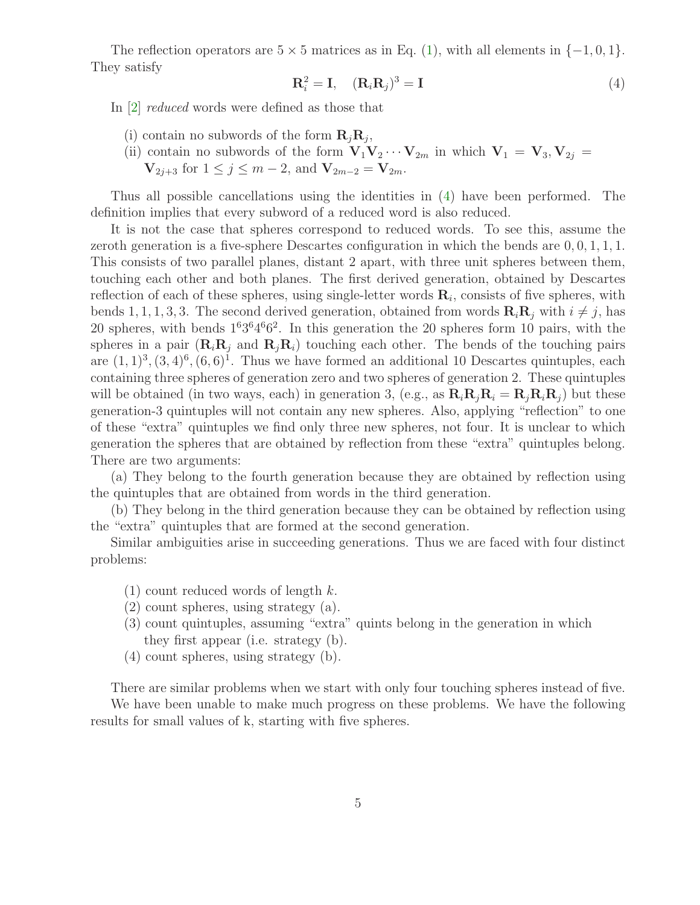<span id="page-4-0"></span>The reflection operators are  $5 \times 5$  matrices as in Eq. [\(1\)](#page-0-0), with all elements in  $\{-1,0,1\}$ . They satisfy

$$
\mathbf{R}_i^2 = \mathbf{I}, \quad (\mathbf{R}_i \mathbf{R}_j)^3 = \mathbf{I} \tag{4}
$$

In [\[2\]](#page-6-1) reduced words were defined as those that

- (i) contain no subwords of the form  $\mathbf{R}_j \mathbf{R}_j$ ,
- (ii) contain no subwords of the form  $\mathbf{V}_1\mathbf{V}_2\cdots\mathbf{V}_{2m}$  in which  $\mathbf{V}_1 = \mathbf{V}_3, \mathbf{V}_{2j} =$ 
	- $V_{2j+3}$  for  $1 \le j \le m-2$ , and  $V_{2m-2} = V_{2m}$ .

Thus all possible cancellations using the identities in [\(4\)](#page-4-0) have been performed. The definition implies that every subword of a reduced word is also reduced.

It is not the case that spheres correspond to reduced words. To see this, assume the zeroth generation is a five-sphere Descartes configuration in which the bends are  $0, 0, 1, 1, 1$ . This consists of two parallel planes, distant 2 apart, with three unit spheres between them, touching each other and both planes. The first derived generation, obtained by Descartes reflection of each of these spheres, using single-letter words  $\mathbf{R}_i$ , consists of five spheres, with bends 1, 1, 1, 3, 3. The second derived generation, obtained from words  $\mathbf{R}_i \mathbf{R}_j$  with  $i \neq j$ , has 20 spheres, with bends  $1^63^64^66^2$ . In this generation the 20 spheres form 10 pairs, with the spheres in a pair  $(\mathbf{R}_i \mathbf{R}_j$  and  $\mathbf{R}_j \mathbf{R}_i)$  touching each other. The bends of the touching pairs are  $(1,1)^3$ ,  $(3,4)^6$ ,  $(6,6)^1$ . Thus we have formed an additional 10 Descartes quintuples, each containing three spheres of generation zero and two spheres of generation 2. These quintuples will be obtained (in two ways, each) in generation 3, (e.g., as  $\mathbf{R}_i \mathbf{R}_j \mathbf{R}_i = \mathbf{R}_i \mathbf{R}_i \mathbf{R}_j$ ) but these generation-3 quintuples will not contain any new spheres. Also, applying "reflection" to one of these "extra" quintuples we find only three new spheres, not four. It is unclear to which generation the spheres that are obtained by reflection from these "extra" quintuples belong. There are two arguments:

(a) They belong to the fourth generation because they are obtained by reflection using the quintuples that are obtained from words in the third generation.

(b) They belong in the third generation because they can be obtained by reflection using the "extra" quintuples that are formed at the second generation.

Similar ambiguities arise in succeeding generations. Thus we are faced with four distinct problems:

- $(1)$  count reduced words of length k.
- (2) count spheres, using strategy (a).
- (3) count quintuples, assuming "extra" quints belong in the generation in which they first appear (i.e. strategy (b).
- (4) count spheres, using strategy (b).

There are similar problems when we start with only four touching spheres instead of five.

We have been unable to make much progress on these problems. We have the following results for small values of k, starting with five spheres.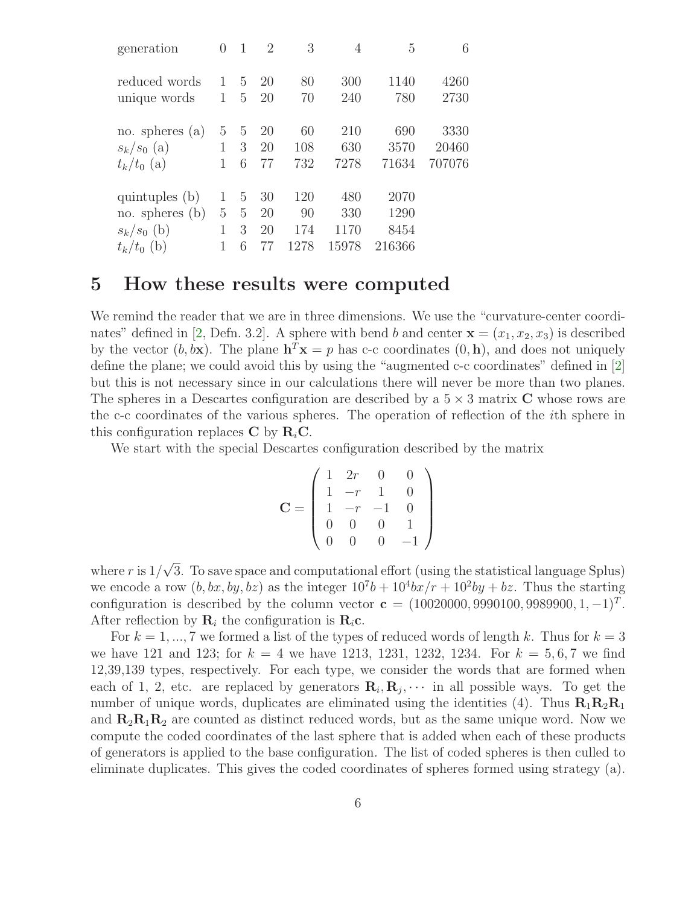| generation                                          | 0            | 1           | $\overline{2}$ | 3                | 4                  | 5                    | 6                       |
|-----------------------------------------------------|--------------|-------------|----------------|------------------|--------------------|----------------------|-------------------------|
| reduced words                                       | $\mathbf{1}$ | 5           | 20             | 80               | 300                | 1140                 | 4260                    |
| unique words                                        | 1            | 5           | 20             | 70               | 240                | 780                  | 2730                    |
| no. spheres $(a)$<br>$s_k/s_0$ (a)<br>$t_k/t_0$ (a) | 5<br>1       | 5<br>3<br>6 | 20<br>20<br>77 | 60<br>108<br>732 | 210<br>630<br>7278 | 690<br>3570<br>71634 | 3330<br>20460<br>707076 |
| quintuples (b)                                      | 1            | 5           | 30             | 120              | 480                | 2070                 |                         |
| no. spheres $(b)$                                   | 5            | 5           | 20             | 90               | 330                | 1290                 |                         |
| $s_k/s_0$ (b)                                       | 1            | 3           | 20             | 174              | 1170               | 8454                 |                         |
| $t_k/t_0$ (b)                                       | 1            | 6           | 77             | 1278             | 15978              | 216366               |                         |

#### 5 How these results were computed

We remind the reader that we are in three dimensions. We use the "curvature-center coordi-nates" defined in [\[2,](#page-6-1) Defn. 3.2]. A sphere with bend b and center  $\mathbf{x} = (x_1, x_2, x_3)$  is described by the vector  $(b, b\mathbf{x})$ . The plane  $\mathbf{h}^T \mathbf{x} = p$  has c-c coordinates  $(0, \mathbf{h})$ , and does not uniquely define the plane; we could avoid this by using the "augmented c-c coordinates" defined in [\[2\]](#page-6-1) but this is not necessary since in our calculations there will never be more than two planes. The spheres in a Descartes configuration are described by a  $5 \times 3$  matrix C whose rows are the c-c coordinates of the various spheres. The operation of reflection of the ith sphere in this configuration replaces C by  $R_iC$ .

We start with the special Descartes configuration described by the matrix

$$
\mathbf{C} = \left( \begin{array}{cccc} 1 & 2r & 0 & 0 \\ 1 & -r & 1 & 0 \\ 1 & -r & -1 & 0 \\ 0 & 0 & 0 & 1 \\ 0 & 0 & 0 & -1 \end{array} \right)
$$

where r is  $1/\sqrt{3}$ . To save space and computational effort (using the statistical language Splus) we encode a row  $(b, bx, by, bz)$  as the integer  $10<sup>7</sup>b + 10<sup>4</sup>bx/r + 10<sup>2</sup>by + bz$ . Thus the starting configuration is described by the column vector  $\mathbf{c} = (10020000, 9990100, 9989900, 1, -1)^T$ . After reflection by  $\mathbf{R}_i$  the configuration is  $\mathbf{R}_i$ **c**.

For  $k = 1, ..., 7$  we formed a list of the types of reduced words of length k. Thus for  $k = 3$ we have 121 and 123; for  $k = 4$  we have 1213, 1231, 1232, 1234. For  $k = 5, 6, 7$  we find 12,39,139 types, respectively. For each type, we consider the words that are formed when each of 1, 2, etc. are replaced by generators  $\mathbf{R}_i, \mathbf{R}_j, \cdots$  in all possible ways. To get the number of unique words, duplicates are eliminated using the identities (4). Thus  $R_1R_2R_1$ and  $\mathbf{R}_2\mathbf{R}_1\mathbf{R}_2$  are counted as distinct reduced words, but as the same unique word. Now we compute the coded coordinates of the last sphere that is added when each of these products of generators is applied to the base configuration. The list of coded spheres is then culled to eliminate duplicates. This gives the coded coordinates of spheres formed using strategy (a).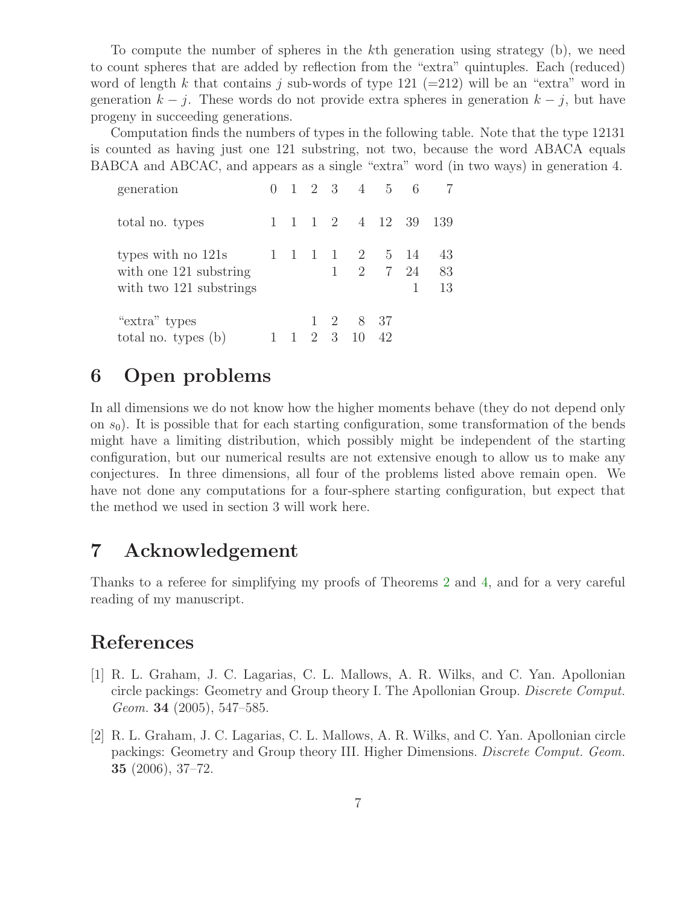To compute the number of spheres in the kth generation using strategy (b), we need to count spheres that are added by reflection from the "extra" quintuples. Each (reduced) word of length k that contains j sub-words of type 121 (=212) will be an "extra" word in generation  $k - j$ . These words do not provide extra spheres in generation  $k - j$ , but have progeny in succeeding generations.

Computation finds the numbers of types in the following table. Note that the type 12131 is counted as having just one 121 substring, not two, because the word ABACA equals BABCA and ABCAC, and appears as a single "extra" word (in two ways) in generation 4.

| generation                                                              |  |              | $0 \t1 \t2 \t3 \t4 \t5 \t6$                                       |                     | - 7            |
|-------------------------------------------------------------------------|--|--------------|-------------------------------------------------------------------|---------------------|----------------|
| total no. types                                                         |  |              |                                                                   | 1 1 1 2 4 12 39 139 |                |
| types with no 121s<br>with one 121 substring<br>with two 121 substrings |  | $\mathbf{1}$ | 1 1 1 1 2 5 14                                                    | 2 7 24              | 43<br>83<br>13 |
| "extra" types<br>total no. types (b)                                    |  |              | $1 \t2 \t8 \t37$<br>$1 \quad 1 \quad 2 \quad 3 \quad 10 \quad 42$ |                     |                |

# 6 Open problems

In all dimensions we do not know how the higher moments behave (they do not depend only on  $s<sub>0</sub>$ ). It is possible that for each starting configuration, some transformation of the bends might have a limiting distribution, which possibly might be independent of the starting configuration, but our numerical results are not extensive enough to allow us to make any conjectures. In three dimensions, all four of the problems listed above remain open. We have not done any computations for a four-sphere starting configuration, but expect that the method we used in section 3 will work here.

### 7 Acknowledgement

Thanks to a referee for simplifying my proofs of Theorems [2](#page-1-1) and [4,](#page-2-0) and for a very careful reading of my manuscript.

# <span id="page-6-0"></span>References

- [1] R. L. Graham, J. C. Lagarias, C. L. Mallows, A. R. Wilks, and C. Yan. Apollonian circle packings: Geometry and Group theory I. The Apollonian Group. Discrete Comput. Geom. 34 (2005), 547–585.
- <span id="page-6-1"></span>[2] R. L. Graham, J. C. Lagarias, C. L. Mallows, A. R. Wilks, and C. Yan. Apollonian circle packings: Geometry and Group theory III. Higher Dimensions. Discrete Comput. Geom. 35 (2006), 37–72.